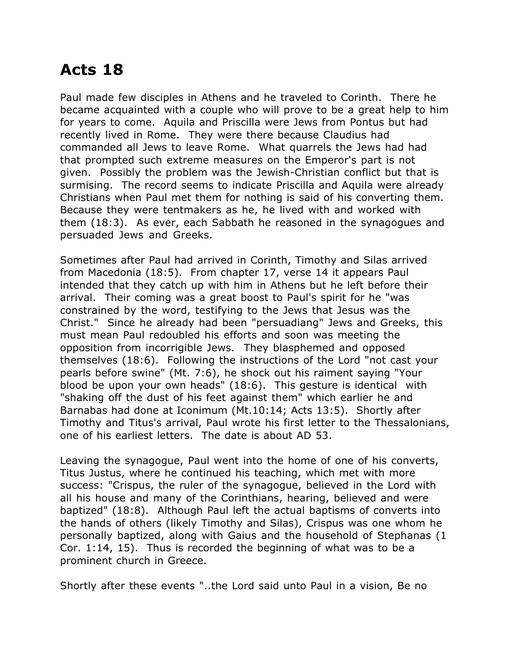## **Acts 18**

Paul made few disciples in Athens and he traveled to Corinth. There he became acquainted with a couple who will prove to be a great help to him for years to come. Aquila and Priscilla were Jews from Pontus but had recently lived in Rome. They were there because Claudius had commanded all Jews to leave Rome. What quarrels the Jews had had that prompted such extreme measures on the Emperor's part is not given. Possibly the problem was the Jewish-Christian conflict but that is surmising. The record seems to indicate Priscilla and Aquila were already Christians when Paul met them for nothing is said of his converting them. Because they were tentmakers as he, he lived with and worked with them (18:3). As ever, each Sabbath he reasoned in the synagogues and persuaded Jews and Greeks.

Sometimes after Paul had arrived in Corinth, Timothy and Silas arrived from Macedonia (18:5). From chapter 17, verse 14 it appears Paul intended that they catch up with him in Athens but he left before their arrival. Their coming was a great boost to Paul's spirit for he "was constrained by the word, testifying to the Jews that Jesus was the Christ." Since he already had been "persuadiang" Jews and Greeks, this must mean Paul redoubled his efforts and soon was meeting the opposition from incorrigible Jews. They blasphemed and opposed themselves (18:6). Following the instructions of the Lord "not cast your pearls before swine" (Mt. 7:6), he shock out his raiment saying "Your blood be upon your own heads" (18:6). This gesture is identical with "shaking off the dust of his feet against them" which earlier he and Barnabas had done at Iconimum (Mt.10:14; Acts 13:5). Shortly after Timothy and Titus's arrival, Paul wrote his first letter to the Thessalonians, one of his earliest letters. The date is about AD 53.

Leaving the synagogue, Paul went into the home of one of his converts, Titus Justus, where he continued his teaching, which met with more success: "Crispus, the ruler of the synagogue, believed in the Lord with all his house and many of the Corinthians, hearing, believed and were baptized" (18:8). Although Paul left the actual baptisms of converts into the hands of others (likely Timothy and Silas), Crispus was one whom he personally baptized, along with Gaius and the household of Stephanas (1 Cor. 1:14, 15). Thus is recorded the beginning of what was to be a prominent church in Greece.

Shortly after these events "..the Lord said unto Paul in a vision, Be no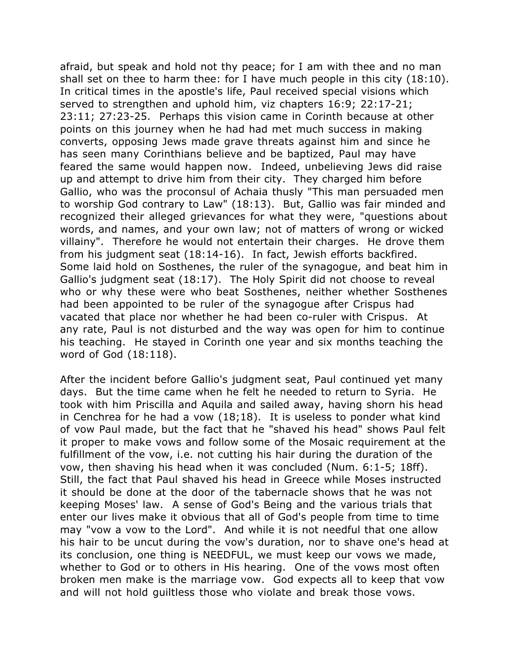afraid, but speak and hold not thy peace; for I am with thee and no man shall set on thee to harm thee: for I have much people in this city (18:10). In critical times in the apostle's life, Paul received special visions which served to strengthen and uphold him, viz chapters 16:9; 22:17-21; 23:11; 27:23-25. Perhaps this vision came in Corinth because at other points on this journey when he had had met much success in making converts, opposing Jews made grave threats against him and since he has seen many Corinthians believe and be baptized, Paul may have feared the same would happen now. Indeed, unbelieving Jews did raise up and attempt to drive him from their city. They charged him before Gallio, who was the proconsul of Achaia thusly "This man persuaded men to worship God contrary to Law" (18:13). But, Gallio was fair minded and recognized their alleged grievances for what they were, "questions about words, and names, and your own law; not of matters of wrong or wicked villainy". Therefore he would not entertain their charges. He drove them from his judgment seat (18:14-16). In fact, Jewish efforts backfired. Some laid hold on Sosthenes, the ruler of the synagogue, and beat him in Gallio's judgment seat (18:17). The Holy Spirit did not choose to reveal who or why these were who beat Sosthenes, neither whether Sosthenes had been appointed to be ruler of the synagogue after Crispus had vacated that place nor whether he had been co-ruler with Crispus. At any rate, Paul is not disturbed and the way was open for him to continue his teaching. He stayed in Corinth one year and six months teaching the word of God (18:118).

After the incident before Gallio's judgment seat, Paul continued yet many days. But the time came when he felt he needed to return to Syria. He took with him Priscilla and Aquila and sailed away, having shorn his head in Cenchrea for he had a vow (18;18). It is useless to ponder what kind of vow Paul made, but the fact that he "shaved his head" shows Paul felt it proper to make vows and follow some of the Mosaic requirement at the fulfillment of the vow, i.e. not cutting his hair during the duration of the vow, then shaving his head when it was concluded (Num. 6:1-5; 18ff). Still, the fact that Paul shaved his head in Greece while Moses instructed it should be done at the door of the tabernacle shows that he was not keeping Moses' law. A sense of God's Being and the various trials that enter our lives make it obvious that all of God's people from time to time may "vow a vow to the Lord". And while it is not needful that one allow his hair to be uncut during the vow's duration, nor to shave one's head at its conclusion, one thing is NEEDFUL, we must keep our vows we made, whether to God or to others in His hearing. One of the vows most often broken men make is the marriage vow. God expects all to keep that vow and will not hold guiltless those who violate and break those vows.